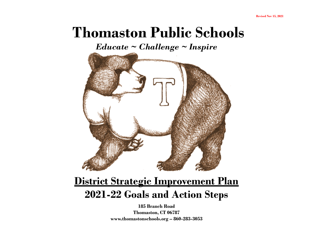# **Thomaston Public Schools**

*Educate ~ Challenge ~ Inspire*



## **District Strategic Improvement Plan 2021-22 Goals and Action Steps**

**185 Branch Road Thomaston, CT 06787 www.thomastonschools.org – 860-283-3053**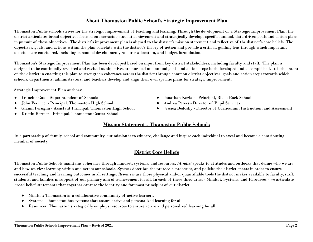### **About Thomaston Public School's Strategic Improvement Plan**

Thomaston Public schools strives for the strategic improvement of teaching and learning. Through the development of a Strategic Improvement Plan, the district articulates broad objectives focused on increasing student achievement and strategically develops specific, annual, data-driven goals and action plans in pursuit of these objectives. The district's improvement plan is aligned to the district's mission statement and reflective of the district's core beliefs. The objectives, goals, and actions within the plan correlate with the district's theory of action and provide a critical, guiding lens through which important decisions are considered, including personnel development, resource allocation, and budget formulation.

Thomaston's Strategic Improvement Plan has been developed based on input from key district stakeholders, including faculty and staff. The plan is designed to be continually revisited and revised as objectives are pursued and annual goals and action steps both developed and accomplished. It is the intent of the district in enacting this plan to strengthen coherence across the district through common district objectives, goals and action steps towards which schools, departments, administrators, and teachers develop and align their own specific plans for strategic improvement.

Strategic Improvement Plan authors:

- Francine Coss Superintendent of Schools
- John Perrucci Principal, Thomaston High School
- Gianni Perugini Assistant Principal, Thomaston High School
- Kristin Bernier Principal, Thomaston Center School
- Jonathan Kozlak Principal, Black Rock School
- Andrea Peters Director of Pupil Services
- Jessica Bedosky Director of Curriculum, Instruction, and Assessment

### **Mission Statement - Thomaston Public Schools**

In a partnership of family, school and community, our mission is to educate, challenge and inspire each individual to excel and become a contributing member of society.

### **District Core Beliefs**

Thomaston Public Schools maintains coherence through mindset, systems, and resources. *Mindset* speaks to attitudes and outlooks that define who we are and how we view learning within and across our schools. *Systems* describes the protocols, processes, and policies the district enacts in order to ensure successful teaching and learning outcomes in all settings. *Resources* are those physical and/or quantifiable tools the district makes available to faculty, staff, students, and families in support of our primary aim of achievement for all. In each of these three areas - Mindset, Systems, and Resources - we articulate broad belief statements that together capture the identity and foremost principles of our district.

- Mindset: Thomaston is a collaborative community of active learners.
- Systems: Thomaston has systems that ensure active and personalized learning for all.
- Resources: Thomaston strategically employs resources to ensure active and personalized learning for all.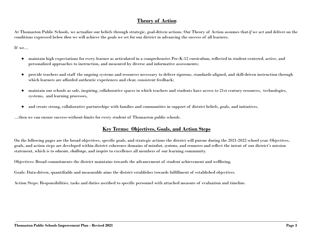### **Theory of Action**

At Thomaston Public Schools, we actualize our beliefs through strategic, goal-driven actions. Our Theory of Action assumes that*if* we act and deliver on the conditions expressed below *then* we will achieve the goals we set for our district in advancing the success of all learners.

If we…

- maintain high expectations for every learner as articulated in a comprehensive Pre-K-12 curriculum, reflected in student-centered, active, and personalized approaches to instruction, and measured by diverse and informative assessments;
- provide teachers and staff the ongoing systems and resources necessary to deliver rigorous, standards-aligned, and skill-driven instruction through which learners are afforded authentic experiences and clear, consistent feedback;
- maintain our schools as safe, inspiring, collaborative spaces in which teachers and students have access to 21st century resources, technologies, systems, and learning processes,
- and create strong, collaborative partnerships with families and communities in support of district beliefs, goals, and initiatives,

…then we can ensure success-without-limits for every student of Thomaston public schools.

### **Key Terms: Objectives, Goals, and Action Steps**

On the following pages are the broad objectives, specific goals, and strategic actions the district will pursue during the 2021-2022 school year. Objectives, goals, and action steps are developed within district coherence domains of *mindset*, *systems*, and *resources* and reflect the intent of our district's mission statement, which is to *educate*, *challenge*, and *inspire* to excellence all members of our learning community.

Objectives: Broad commitments the district maintains towards the advancement of student achievement and wellbeing.

Goals: Data-driven, quantifiable and measurable aims the district establishes towards fulfillment of established objectives.

Action Steps: Responsibilities, tasks and duties ascribed to specific personnel with attached measure of evaluation and timeline.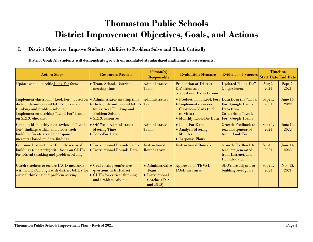### **Thomaston Public Schools District Improvement Objectives, Goals, and Actions**

### **I. District Objective: Improve Students' Abilities to Problem Solve and Think Critically**

**District Goal: All students will demonstrate growth on mandated standardized mathematics assessments.**

| <b>Action Steps</b>                                                                                                                                                                                                       | <b>Resources Needed</b>                                                                                                    | Person(s)<br><b>Responsible</b>                                                               | <b>Evaluation Measure</b>                                                                                                    | <b>Evidence of Success</b>                                                                      | <b>Timeline</b><br><b>Start Date End Date</b> |                  |
|---------------------------------------------------------------------------------------------------------------------------------------------------------------------------------------------------------------------------|----------------------------------------------------------------------------------------------------------------------------|-----------------------------------------------------------------------------------------------|------------------------------------------------------------------------------------------------------------------------------|-------------------------------------------------------------------------------------------------|-----------------------------------------------|------------------|
| Update school-specific Look For forms                                                                                                                                                                                     | <b>• Team, School, District</b><br>meeting time                                                                            | <b>Administrative</b><br>Team                                                                 | <b>Production of District</b><br>Definition and<br><b>Grade-Level Expectations</b>                                           | <b>Updated "Look For"</b><br><b>Google Forms</b>                                                | Aug $2,$<br>2021                              | Sept 2,<br>2021  |
| Implement classroom "Look For" based on $\bullet$ Administrator meeting time<br>district definition and GLE's for critical<br>thinking and problem solving<br>Implement co-teaching "Look For" based<br>on SERC checklist | • District definition and GLE's Team<br>for Critical Thinking and<br><b>Problem Solving</b><br>• SERC resources            | <b>Administrative</b>                                                                         | • Production of Look Fors<br>• Implementation via<br><b>Classroom Visits (incl.</b><br>co-visits)<br>• Monthly Look-For Data | Data from the "Look<br>For" Google Forms<br>Data from<br>Co-teaching "Look<br>For" Google Forms | Sept 1,<br>2021                               | June 14,<br>2022 |
| Conduct bi-monthly data review of "Look<br>For" findings within and across each<br>building. Create strategic response<br>measures based on data findings                                                                 | <b>.</b> Off-Week Administrator<br><b>Meeting Time</b><br><b>Look-For Data</b>                                             | <b>Administrative</b><br>Team                                                                 | $\bullet$ Look-For Data<br>$\bullet$ Analysis Meeting<br><b>Minutes</b><br>• Response Plans                                  | <b>Growth Feedback to</b><br>teachers generated<br>lfrom "Look For".                            | Sept 1,<br>2021                               | June 14,<br>2022 |
| <b>Continue Instructional Rounds across all</b><br>buildings (quarterly) with focus on GLE's<br>for critical thinking and problem solving                                                                                 | • Instructional Rounds forms<br>• Instructional Rounds Data                                                                | <b>Instructional</b><br>Rounds team                                                           | <b>Instructional Rounds</b>                                                                                                  | <b>Growth Feedback to</b><br>teachers generated<br>from Instructional<br>Rounds data.           | Sept 1,<br>2021                               | June 14,<br>2022 |
| Coach teachers to ensure IAGD measures<br>within TEVAL align with district GLE's for<br>critical thinking and problem solving                                                                                             | <b>• Goal-setting conference</b><br>questions in EdReflect<br>$\bullet$ GLE's for critical thinking<br>and problem solving | · Administrative<br><b>Team</b><br>$\bullet$ Instructional<br><b>Coaches</b> (TCS<br>and BRS) | <b>Approved of TEVAL</b><br><b>IAGD</b> measures                                                                             | SLO's are aligned to<br>building level goals                                                    | Sept 1,<br>2021                               | Nov 15,<br>2021  |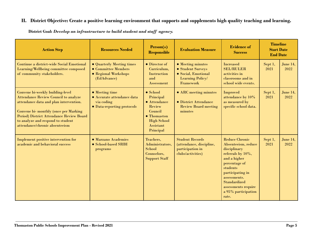| <b>Action Step</b>                                                                                                                                                                                                                                                                    | <b>Resources Needed</b>                                                                         | Person(s)<br><b>Responsible</b>                                                                                                                   | <b>Evaluation Measure</b>                                                                       | <b>Evidence of</b><br><b>Success</b>                                                                                                                                                                                                      | <b>Timeline</b><br><b>Start Date</b><br><b>End Date</b> |                  |
|---------------------------------------------------------------------------------------------------------------------------------------------------------------------------------------------------------------------------------------------------------------------------------------|-------------------------------------------------------------------------------------------------|---------------------------------------------------------------------------------------------------------------------------------------------------|-------------------------------------------------------------------------------------------------|-------------------------------------------------------------------------------------------------------------------------------------------------------------------------------------------------------------------------------------------|---------------------------------------------------------|------------------|
| Continue a district-wide Social Emotional<br>Learning/Wellbeing committee composed<br>of community stakeholders.                                                                                                                                                                      | • Quarterly Meeting times<br>$\bullet$ Committee Members<br>• Regional Workshops<br>(EdAdvance) | $\bullet$ Director of<br>Curriculum,<br>Instruction<br>and<br>Assessment                                                                          | • Meeting minutes<br>• Student Surveys<br>· Social, Emotional<br>Learning Policy/<br>Framework  | <b>Increased</b><br><b>SEL/RULER</b><br>activities in<br>classrooms and in<br>school wide events.                                                                                                                                         |                                                         | June 14,<br>2022 |
| Convene bi-weekly building-level<br><b>Attendance Review Council to analyze</b><br>attendance data and plan intervention.<br>Convene bi- monthly (once per Marking<br>Period) District Attendance Review Board<br>to analyze and respond to student<br>attendance/chronic absenteeism | • Meeting time<br>• Accurate attendance data<br>via coding<br>• Data-reporting protocols        | $\bullet$ School<br>Principal<br>$\bullet$ Attendance<br>Review<br>Council<br>$\bullet$ Thomaston<br><b>High School</b><br>Assistant<br>Principal | • ARC meeting minutes<br><b>• District Attendance</b><br><b>Review Board meeting</b><br>minutes | Improved<br>attendance by 10%<br>as measured by<br>specific school data.                                                                                                                                                                  | Sept 1,<br>2021                                         | June 14,<br>2022 |
| Implement positive intervention for<br>academic and behavioral success                                                                                                                                                                                                                | • Marzano Academies<br>• School-based SRBI<br>programs                                          | Teachers,<br>Administrators,<br>School<br>Counselors,<br><b>Support Staff</b>                                                                     | <b>Student Records</b><br>(attendance, discipline,<br>participation in<br>clubs/activities)     | <b>Reduce Chronic</b><br>Absenteeism, reduce<br>disciplinary<br>referrals by 10%,<br>and a higher<br>percentage of<br>students<br>participating in<br>assessments.<br>Standardized<br>assessments require<br>a 95% participation<br>rate. | Sept 1,<br>2021                                         | June 14,<br>2022 |

**District Goal:** *Develop an infrastructure to build student and staff agency.*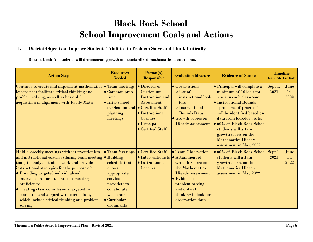### **Black Rock School School Improvement Goals and Actions**

### **I. District Objective: Improve Students' Abilities to Problem Solve and Think Critically**

**District Goal: All students will demonstrate growth on standardized mathematics assessments.**

| <b>Action Steps</b> |                                                                                                                                                                                                                                                                                                                                                                                                                                                          | <b>Resources</b><br><b>Needed</b>                                                                                                                              | Person(s)<br><b>Responsible</b>                                                                                                                                                                                | <b>Evaluation Measure</b>                                                                                                                                                                           | <b>Evidence of Success</b>                                                                                                                                                                                                                                                                                                                | <b>Timeline</b><br><b>Start Date End Date</b> |                     |
|---------------------|----------------------------------------------------------------------------------------------------------------------------------------------------------------------------------------------------------------------------------------------------------------------------------------------------------------------------------------------------------------------------------------------------------------------------------------------------------|----------------------------------------------------------------------------------------------------------------------------------------------------------------|----------------------------------------------------------------------------------------------------------------------------------------------------------------------------------------------------------------|-----------------------------------------------------------------------------------------------------------------------------------------------------------------------------------------------------|-------------------------------------------------------------------------------------------------------------------------------------------------------------------------------------------------------------------------------------------------------------------------------------------------------------------------------------------|-----------------------------------------------|---------------------|
|                     | Continue to create and implement mathematics • Team meetings<br>lessons that facilitate critical thinking and<br>problem solving, as well as basic skill<br>acquisition in alignment with Ready Math                                                                                                                                                                                                                                                     | $\bullet$ Common prep<br>time<br>• After school<br>planning<br>meetings                                                                                        | $\bullet$ Director of<br>Curriculum,<br><b>Instruction and</b><br>Assessment<br>curriculum and $\bullet$ Certified Staff<br><b>•</b> Instructional<br>Coaches<br>$\bullet$ Principal<br><b>Certified Staff</b> | $\bullet$ Observations<br>$\circ$ Use of<br>instructional look<br>fors<br><b>O</b> Instructional<br><b>Rounds Data</b><br><b>• Growth Scores on</b><br><b>IReady</b> assessment                     | • Principal will complete a<br>minimum of 10 look-for<br>visits in each classroom.<br>• Instructional Rounds<br>"problems of practice"<br>will be identified based on<br>data from look-for visits.<br>• 60% of Black Rock School<br>students will attain<br>growth scores on the<br><b>Mathematics IReady</b><br>assessment in May, 2022 | Sept 1,<br>2021                               | June<br>14.<br>2022 |
|                     | Hold bi-weekly meetings with interventionists<br>and instructional coaches (during team meeting • Building<br>time) to analyze student work and provide<br>instructional strategies for the purpose of:<br>• Providing targeted individualized<br>interventions for students not meeting<br>proficiency<br>• Creating classrooms lessons targeted to<br>standards and aligned with curriculum,<br>which include critical thinking and problem<br>solving | <b>• Team Meetings</b><br>schedule that<br>allows<br>appropriate<br>service<br>providers to<br>collaborate<br>with teams.<br>$\bullet$ Curricular<br>documents | • Certified Staff<br>$\bullet$ Interventionists $\bullet$ Attainment of<br>$\bullet$ Instructional<br>Coaches                                                                                                  | <b>• Team Observation</b><br><b>Growth Scores on</b><br>the Mathematics<br><b>IReady</b> assessment<br>• Evidence of<br>problem solving<br>and critical<br>thinking in look for<br>observation data | · 60% of Black Rock School Sept 1,<br>students will attain<br>growth scores on the<br><b>Mathematics IReady</b><br>assessment in May 2022                                                                                                                                                                                                 | 2021                                          | June<br>14,<br>2022 |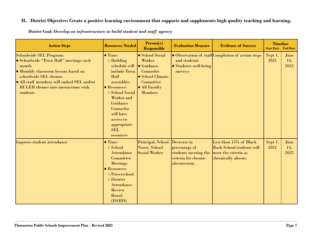| <b>Resources Needed</b><br><b>Action Steps</b>                                                                                                                                                                                                            |                                                                                                                                                                                                                                          | Person(s)<br><b>Responsible</b>                                                                                                          | <b>Evaluation Measure</b>                                                                    | <b>Evidence of Success</b>                                                                                | <b>Timeline</b><br><b>Start Date</b> | <b>End Date</b>     |
|-----------------------------------------------------------------------------------------------------------------------------------------------------------------------------------------------------------------------------------------------------------|------------------------------------------------------------------------------------------------------------------------------------------------------------------------------------------------------------------------------------------|------------------------------------------------------------------------------------------------------------------------------------------|----------------------------------------------------------------------------------------------|-----------------------------------------------------------------------------------------------------------|--------------------------------------|---------------------|
| <b>Schoolwide SEL Program:</b><br>· Schoolwide "Town Hall" meetings each<br>month<br>• Monthly classroom lessons based on<br>schoolwide SEL themes<br>• All staff members will embed SEL and/or<br><b>RULER</b> themes into interactions with<br>students | $\bullet$ Time:<br>$\circ$ Building<br>schedule will<br>include Town<br>Hall<br>assemblies<br>• Resources:<br>○ School Social<br>Worker and<br>Guidance<br>Counselor<br>will have<br>access to<br>appropriate<br><b>SEL</b><br>resources | • School Social<br>Worker<br>$\bullet$ Guidance<br>Counselor<br>$\bullet$ School Climate<br>Committee<br>• All Faculty<br><b>Members</b> | and students<br>• Students well-being<br>surveys                                             | • Observation of staff Completion of action steps                                                         | Sept 1,<br>2021                      | June<br>14.<br>2022 |
| Improve student attendance                                                                                                                                                                                                                                | $\bullet$ Time:<br>○ School<br><b>Attendance</b><br>Committee<br><b>Meetings</b><br>• Resources:<br>o Powerschool<br>o District<br><b>Attendance</b><br>Review<br><b>Board</b><br>(DARD)                                                 | Principal, School<br>Nurse, School<br><b>Social Worker</b>                                                                               | Decrease in<br>percentage of<br>students meeting the<br>criteria for chronic<br>absenteeism. | Less than 15% of Black<br><b>Rock School students will</b><br>meet the criteria as<br>chronically absent. | Sept 1,<br>2021                      | June<br>14,<br>2022 |

**District Goal:** *Develop an infrastructure to build student and staff agency*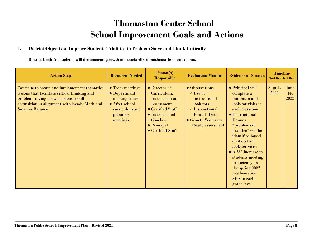### **Thomaston Center School School Improvement Goals and Actions**

### **I. District Objective: Improve Students' Abilities to Problem Solve and Think Critically**

**District Goal: All students will demonstrate growth on standardized mathematics assessments.**

| <b>Action Steps</b>                                                                                                                                                                                                | <b>Resources Needed</b>                                                                                              | Person(s)<br><b>Responsible</b>                                                                                                                                                     | <b>Evaluation Measure</b>                                                                                                                                 | <b>Evidence of Success</b>                                                                                                                                                                                                                                                                                                                            | <b>Timeline</b><br><b>Start Date End Date</b> |                     |
|--------------------------------------------------------------------------------------------------------------------------------------------------------------------------------------------------------------------|----------------------------------------------------------------------------------------------------------------------|-------------------------------------------------------------------------------------------------------------------------------------------------------------------------------------|-----------------------------------------------------------------------------------------------------------------------------------------------------------|-------------------------------------------------------------------------------------------------------------------------------------------------------------------------------------------------------------------------------------------------------------------------------------------------------------------------------------------------------|-----------------------------------------------|---------------------|
| Continue to create and implement mathematics<br>lessons that facilitate critical thinking and<br>problem solving, as well as basic skill<br>acquisition in alignment with Ready Math and<br><b>Smarter Balance</b> | • Team meetings<br>$\bullet$ Department<br>meeting times<br>• After school<br>curriculum and<br>planning<br>meetings | $\bullet$ Director of<br>Curriculum,<br><b>Instruction and</b><br>Assessment<br>• Certified Staff<br>• Instructional<br>Coaches<br>$\bullet$ Principal<br>$\bullet$ Certified Staff | • Observations<br>$\circ$ Use of<br>instructional<br>look fors<br>○ Instructional<br><b>Rounds Data</b><br>• Growth Scores on<br><b>IReady</b> assessment | • Principal will<br>complete a<br>minimum of 10<br>look-for visits in<br>each classroom.<br>• Instructional<br>Rounds<br>"problems of<br>practice" will be<br>identified based<br>on data from<br>look-for visits<br>$\bullet$ A 5% increase in<br>students meeting<br>proficiency on<br>the spring 2022<br>mathematics<br>SBA in each<br>grade level | Sept 1,<br>2021                               | June<br>14.<br>2022 |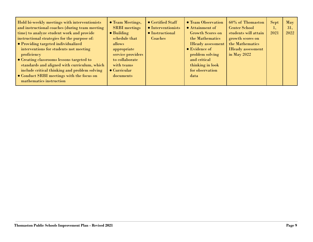| Hold bi-weekly meetings with interventionists<br>and instructional coaches (during team meeting<br>time) to analyze student work and provide<br>instructional strategies for the purpose of:<br>• Providing targeted individualized<br>interventions for students not meeting<br>proficiency<br>• Creating classrooms lessons targeted to<br>standards and aligned with curriculum, which<br>include critical thinking and problem solving<br>• Conduct SRBI meetings with the focus on<br>mathematics instruction | • Team Meetings,<br><b>SRBI</b> meetings<br>$\bullet$ Building<br>schedule that<br>allows<br>appropriate<br>service providers<br>to collaborate<br>with teams<br>$\bullet$ Curricular<br>documents | • Certified Staff<br>$\bullet$ Interventionists<br>$\bullet$ Instructional<br>Coaches | • Team Observation<br>• Attainment of<br><b>Growth Scores on</b><br>the Mathematics<br><b>IReady</b> assessment<br>$\bullet$ Evidence of<br>problem solving<br>and critical<br>thinking in look<br>for observation<br>data | 60% of Thomaston<br><b>Center School</b><br>students will attain<br>growth scores on<br>the Mathematics<br><b>IReady assessment</b><br>in May $2022$ | Sept<br>2021 | May<br>31.<br>2022 |
|--------------------------------------------------------------------------------------------------------------------------------------------------------------------------------------------------------------------------------------------------------------------------------------------------------------------------------------------------------------------------------------------------------------------------------------------------------------------------------------------------------------------|----------------------------------------------------------------------------------------------------------------------------------------------------------------------------------------------------|---------------------------------------------------------------------------------------|----------------------------------------------------------------------------------------------------------------------------------------------------------------------------------------------------------------------------|------------------------------------------------------------------------------------------------------------------------------------------------------|--------------|--------------------|
|--------------------------------------------------------------------------------------------------------------------------------------------------------------------------------------------------------------------------------------------------------------------------------------------------------------------------------------------------------------------------------------------------------------------------------------------------------------------------------------------------------------------|----------------------------------------------------------------------------------------------------------------------------------------------------------------------------------------------------|---------------------------------------------------------------------------------------|----------------------------------------------------------------------------------------------------------------------------------------------------------------------------------------------------------------------------|------------------------------------------------------------------------------------------------------------------------------------------------------|--------------|--------------------|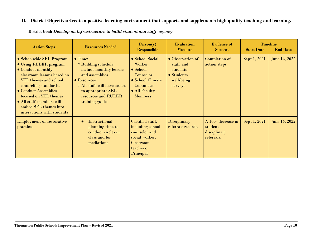| <b>Action Steps</b>                                                                                                                                                                                                                                                                               | <b>Resources Needed</b>                                                                                                                                                                                           | Person(s)<br><b>Responsible</b>                                                                                                       | <b>Evaluation</b><br><b>Measure</b>                                              | <b>Evidence of</b><br><b>Success</b>                       | <b>Start Date</b> | <b>Timeline</b><br><b>End Date</b> |
|---------------------------------------------------------------------------------------------------------------------------------------------------------------------------------------------------------------------------------------------------------------------------------------------------|-------------------------------------------------------------------------------------------------------------------------------------------------------------------------------------------------------------------|---------------------------------------------------------------------------------------------------------------------------------------|----------------------------------------------------------------------------------|------------------------------------------------------------|-------------------|------------------------------------|
| • Schoolwide SEL Program<br>• Using RULER program<br>• Conduct monthly<br>classroom lessons based on<br><b>SEL</b> themes and school<br>counseling standards.<br>• Conduct Assemblies<br>focused on SEL themes<br>• All staff members will<br>embed SEL themes into<br>interactions with students | $\bullet$ Time:<br>$\circ$ Building schedule<br>include monthly lessons<br>and assemblies<br>$\bullet$ Resources:<br>O All staff will have access<br>to appropriate SEL<br>resources and RULER<br>training guides | • School Social<br><b>Worker</b><br>$\bullet$ School<br>Counselor<br>• School Climate<br>Committee<br>· All Faculty<br><b>Members</b> | • Observation of<br>staff and<br>students<br>• Students<br>well-being<br>surveys | Completion of<br>action steps                              | Sept 1, 2021      | June 14, 2022                      |
| <b>Employment of restorative</b><br>practices                                                                                                                                                                                                                                                     | <b>Instructional</b><br>planning time to<br>conduct circles in<br>class and for<br>mediations                                                                                                                     | Certified staff,<br>including school<br>counselor and<br>social worker;<br><b>Classroom</b><br>teachers;<br>Principal                 | <b>Disciplinary</b><br>referrals records.                                        | A 10% decrease in<br>student<br>disciplinary<br>referrals. | Sept 1, 2021      | <b>June 14, 2022</b>               |

**District Goal:** *Develop an infrastructure to build student and staff agency*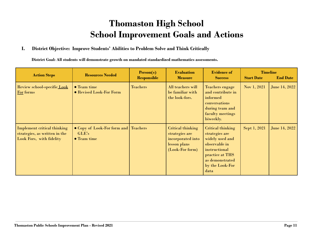### **Thomaston High School School Improvement Goals and Actions**

### **I. District Objective: Improve Students' Abilities to Problem Solve and Think Critically**

**District Goal: All students will demonstrate growth on mandated standardized mathematics assessments.**

| <b>Action Steps</b>                                                                             | <b>Resources Needed</b>                                      | Person(s)<br><b>Responsible</b> | <b>Evaluation</b><br><b>Measure</b>                                                          | <b>Evidence of</b><br><b>Success</b>                                                                                                                      | <b>Start Date</b> | <b>Timeline</b><br><b>End Date</b> |
|-------------------------------------------------------------------------------------------------|--------------------------------------------------------------|---------------------------------|----------------------------------------------------------------------------------------------|-----------------------------------------------------------------------------------------------------------------------------------------------------------|-------------------|------------------------------------|
| Review school-specific Look<br>For forms                                                        | $\bullet$ Team time<br><b>• Revised Look-For Form</b>        | <b>Teachers</b>                 | All teachers will<br>be familiar with<br>the look-fors.                                      | <b>Teachers engage</b><br>and contribute in<br>informed<br>conversations<br>during team and<br>faculty meetings<br>biweekly.                              | Nov 1, 2021       | <b>June 14, 2022</b>               |
| <b>Implement critical thinking</b><br>strategies, as written in the<br>Look Fors, with fidelity | • Copy of Look-For form and Teachers<br>GLE's<br>• Team time |                                 | Critical thinking<br>strategies are<br>incorporated into<br>lesson plans<br>$(Look-Forform)$ | Critical thinking<br>strategies are<br>widely used and<br>observable in<br>instructional<br>practice at THS<br>as demonstrated<br>by the Look-For<br>data | Sept 1, 2021      | <b>June 14, 2022</b>               |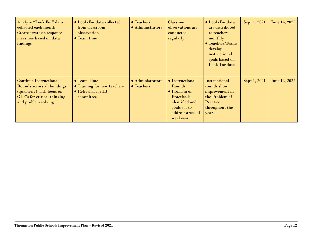| Analyze "Look For" data<br>collected each month.<br>Create strategic response<br>measures based on data<br>findings                             | • Look-For data collected<br>from classroom<br>observation<br>$\bullet$ Team time            | $\bullet$ Teachers<br>· Administrators | <b>Classroom</b><br>observations are<br>conducted<br>regularly                                                                             | • Look-For data<br>are distributed<br>to teachers<br>monthly<br>• Teachers/Teams<br>develop<br>instructional<br>goals based on<br>Look-For data | Sept 1, 2021 | June 14, 2022 |
|-------------------------------------------------------------------------------------------------------------------------------------------------|----------------------------------------------------------------------------------------------|----------------------------------------|--------------------------------------------------------------------------------------------------------------------------------------------|-------------------------------------------------------------------------------------------------------------------------------------------------|--------------|---------------|
| <b>Continue Instructional</b><br>Rounds across all buildings<br>(quarterly) with focus on<br>GLE's for critical thinking<br>and problem solving | $\bullet$ Team Time<br><b>• Training for new teachers</b><br>• Refresher for IR<br>committee | • Administrators<br><b>• Teachers</b>  | $\bullet$ Instructional<br>Rounds<br>• Problem of<br><b>Practice</b> is<br>identified and<br>goals set to<br>address areas of<br>weakness. | Instructional<br>rounds show<br>improvement in<br>the Problem of<br>Practice<br>throughout the<br>year.                                         | Sept 1, 2021 | June 14, 2022 |